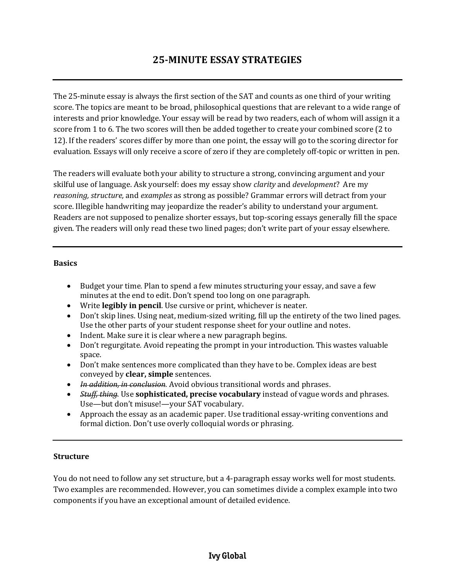# **25-MINUTE ESSAY STRATEGIES**

The 25-minute essay is always the first section of the SAT and counts as one third of your writing score. The topics are meant to be broad, philosophical questions that are relevant to a wide range of interests and prior knowledge. Your essay will be read by two readers, each of whom will assign it a score from 1 to 6. The two scores will then be added together to create your combined score (2 to 12). If the readers' scores differ by more than one point, the essay will go to the scoring director for evaluation. Essays will only receive a score of zero if they are completely off-topic or written in pen.

The readers will evaluate both your ability to structure a strong, convincing argument and your skilful use of language. Ask yourself: does my essay show *clarity* and *development*? Are my *reasoning, structure,* and *examples* as strong as possible? Grammar errors will detract from your score. Illegible handwriting may jeopardize the reader's ability to understand your argument. Readers are not supposed to penalize shorter essays, but top-scoring essays generally fill the space given. The readers will only read these two lined pages; don't write part of your essay elsewhere.

#### **Basics**

- Budget your time*.* Plan to spend a few minutes structuring your essay, and save a few minutes at the end to edit. Don't spend too long on one paragraph.
- Write **legibly in pencil**. Use cursive or print, whichever is neater.
- Don't skip lines. Using neat, medium-sized writing, fill up the entirety of the two lined pages. Use the other parts of your student response sheet for your outline and notes.
- Indent. Make sure it is clear where a new paragraph begins.
- Don't regurgitate*.* Avoid repeating the prompt in your introduction. This wastes valuable space.
- Don't make sentences more complicated than they have to be. Complex ideas are best conveyed by **clear, simple** sentences.
- *In addition, in conclusion.* Avoid obvious transitional words and phrases.
- *Stuff, thing.* Use **sophisticated, precise vocabulary** instead of vague words and phrases. Use—but don't misuse!—your SAT vocabulary.
- Approach the essay as an academic paper. Use traditional essay-writing conventions and formal diction. Don't use overly colloquial words or phrasing.

#### **Structure**

You do not need to follow any set structure, but a 4-paragraph essay works well for most students. Two examples are recommended. However, you can sometimes divide a complex example into two components if you have an exceptional amount of detailed evidence.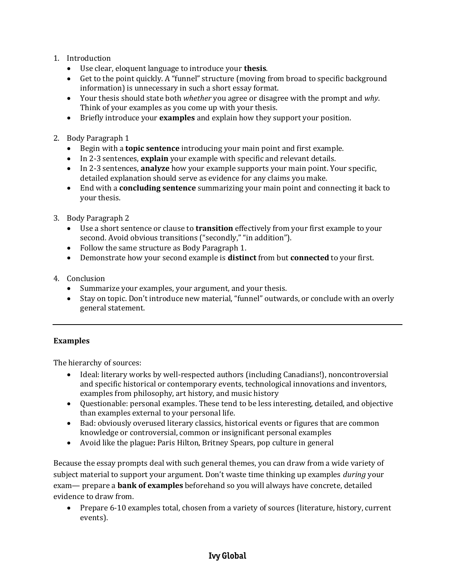- 1. Introduction
	- Use clear, eloquent language to introduce your **thesis**.
	- Get to the point quickly. A "funnel" structure (moving from broad to specific background information) is unnecessary in such a short essay format.
	- Your thesis should state both *whether* you agree or disagree with the prompt and *why*. Think of your examples as you come up with your thesis.
	- Briefly introduce your **examples** and explain how they support your position.
- 2. Body Paragraph 1
	- Begin with a **topic sentence** introducing your main point and first example.
	- In 2-3 sentences, **explain** your example with specific and relevant details.
	- In 2-3 sentences, **analyze** how your example supports your main point. Your specific, detailed explanation should serve as evidence for any claims you make.
	- End with a **concluding sentence** summarizing your main point and connecting it back to your thesis.
- 3. Body Paragraph 2
	- Use a short sentence or clause to **transition** effectively from your first example to your second. Avoid obvious transitions ("secondly," "in addition").
	- Follow the same structure as Body Paragraph 1.
	- Demonstrate how your second example is **distinct** from but **connected** to your first.
- 4. Conclusion
	- Summarize your examples, your argument, and your thesis.
	- Stay on topic. Don't introduce new material, "funnel" outwards, or conclude with an overly general statement.

### **Examples**

The hierarchy of sources:

- Ideal: literary works by well-respected authors (including Canadians!), noncontroversial and specific historical or contemporary events, technological innovations and inventors, examples from philosophy, art history, and music history
- Questionable: personal examples. These tend to be less interesting, detailed, and objective than examples external to your personal life.
- Bad: obviously overused literary classics, historical events or figures that are common knowledge or controversial, common or insignificant personal examples
- Avoid like the plague**:** Paris Hilton, Britney Spears, pop culture in general

Because the essay prompts deal with such general themes, you can draw from a wide variety of subject material to support your argument. Don't waste time thinking up examples *during* your exam— prepare a **bank of examples** beforehand so you will always have concrete, detailed evidence to draw from.

 Prepare 6-10 examples total, chosen from a variety of sources (literature, history, current events).